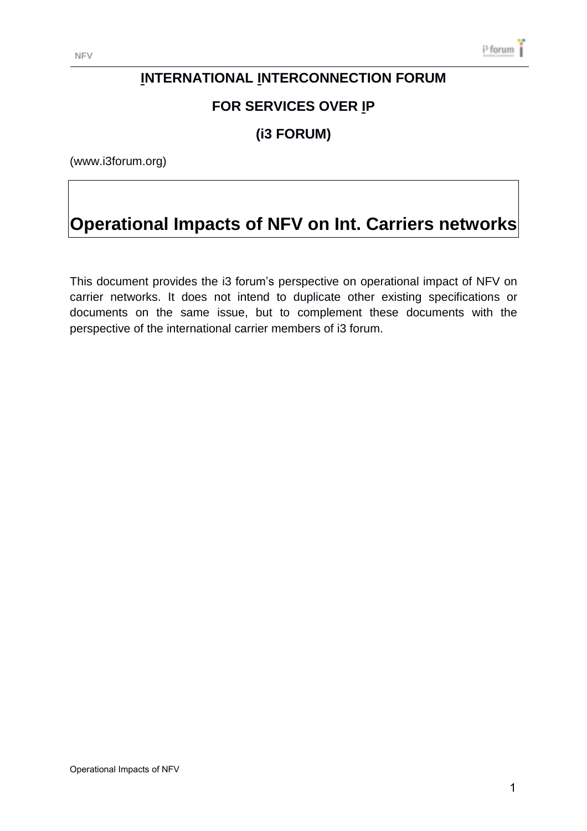# **INTERNATIONAL INTERCONNECTION FORUM**

# **FOR SERVICES OVER IP**

# **(i3 FORUM)**

(www.i3forum.org)

# **Operational Impacts of NFV on Int. Carriers networks**

This document provides the i3 forum's perspective on operational impact of NFV on carrier networks. It does not intend to duplicate other existing specifications or documents on the same issue, but to complement these documents with the perspective of the international carrier members of i3 forum.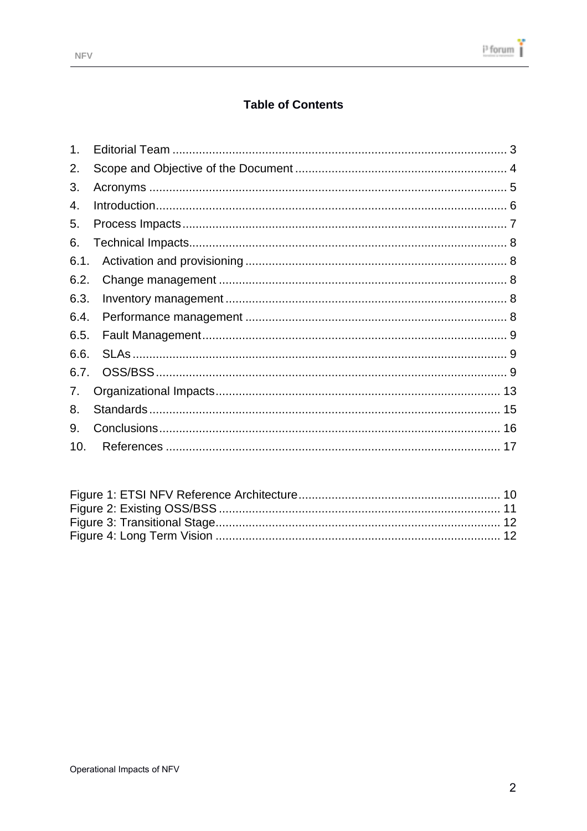### **Table of Contents**

| 1 <sub>1</sub> |  |
|----------------|--|
| 2.             |  |
| 3.             |  |
| 4.             |  |
| 5.             |  |
| 6.             |  |
| 6.1.           |  |
| 6.2.           |  |
| 6.3.           |  |
| 6.4.           |  |
| 6.5.           |  |
| 6.6.           |  |
| 6.7.           |  |
| 7.             |  |
| 8.             |  |
| 9.             |  |
| 10.            |  |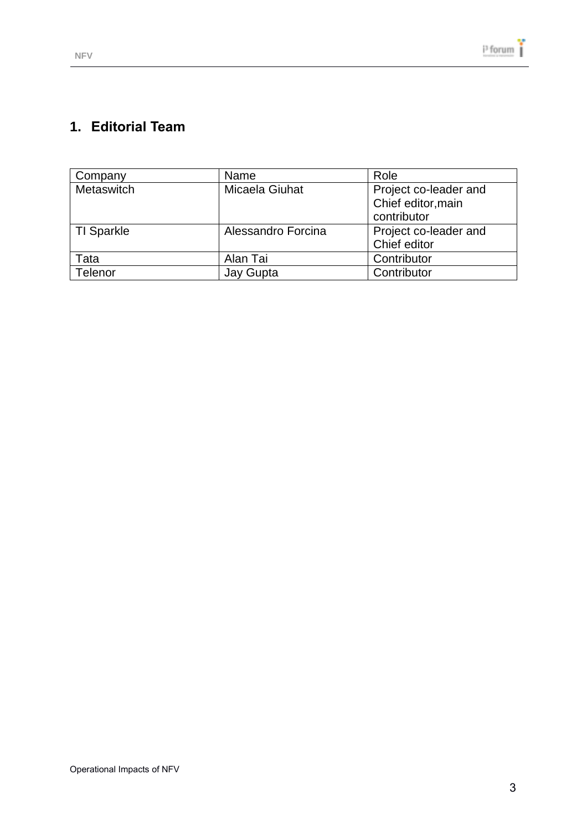# <span id="page-2-0"></span>**1. Editorial Team**

| Company           | Name               | Role                                                       |
|-------------------|--------------------|------------------------------------------------------------|
| Metaswitch        | Micaela Giuhat     | Project co-leader and<br>Chief editor, main<br>contributor |
| <b>TI Sparkle</b> | Alessandro Forcina | Project co-leader and<br>Chief editor                      |
| Tata              | Alan Tai           | Contributor                                                |
| Telenor           | Jay Gupta          | Contributor                                                |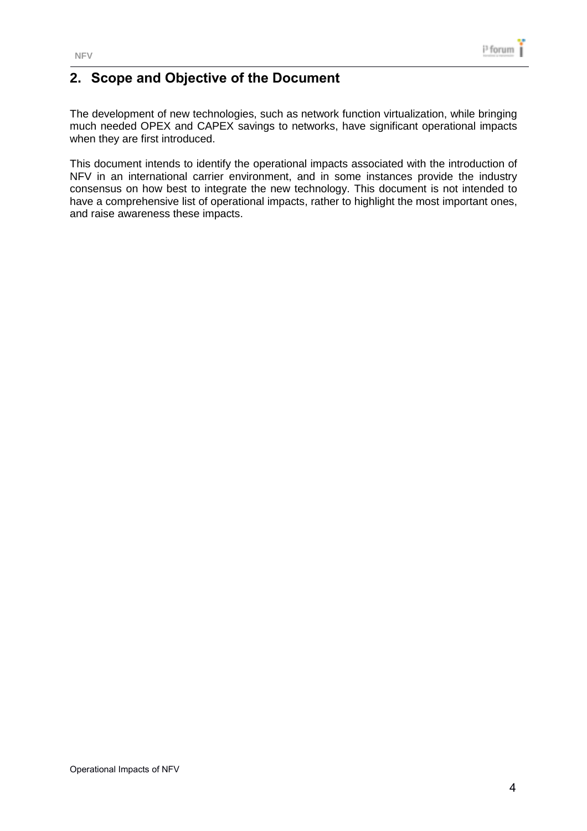

### <span id="page-3-0"></span>**2. Scope and Objective of the Document**

The development of new technologies, such as network function virtualization, while bringing much needed OPEX and CAPEX savings to networks, have significant operational impacts when they are first introduced.

This document intends to identify the operational impacts associated with the introduction of NFV in an international carrier environment, and in some instances provide the industry consensus on how best to integrate the new technology. This document is not intended to have a comprehensive list of operational impacts, rather to highlight the most important ones, and raise awareness these impacts.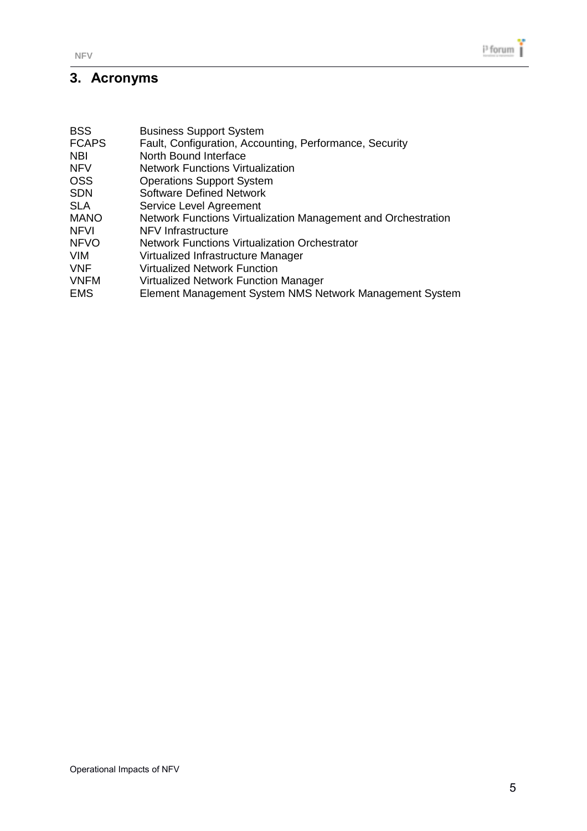# <span id="page-4-0"></span>**3. Acronyms**

| <b>BSS</b>   | <b>Business Support System</b>                                |
|--------------|---------------------------------------------------------------|
| <b>FCAPS</b> | Fault, Configuration, Accounting, Performance, Security       |
| NBI          | North Bound Interface                                         |
| <b>NFV</b>   | <b>Network Functions Virtualization</b>                       |
| OSS          | <b>Operations Support System</b>                              |
| <b>SDN</b>   | <b>Software Defined Network</b>                               |
| <b>SLA</b>   | Service Level Agreement                                       |
| <b>MANO</b>  | Network Functions Virtualization Management and Orchestration |
| NFVI         | NFV Infrastructure                                            |
| <b>NFVO</b>  | <b>Network Functions Virtualization Orchestrator</b>          |
| VIM          | Virtualized Infrastructure Manager                            |
| VNF          | <b>Virtualized Network Function</b>                           |
| <b>VNFM</b>  | <b>Virtualized Network Function Manager</b>                   |
| <b>EMS</b>   | Element Management System NMS Network Management System       |
|              |                                                               |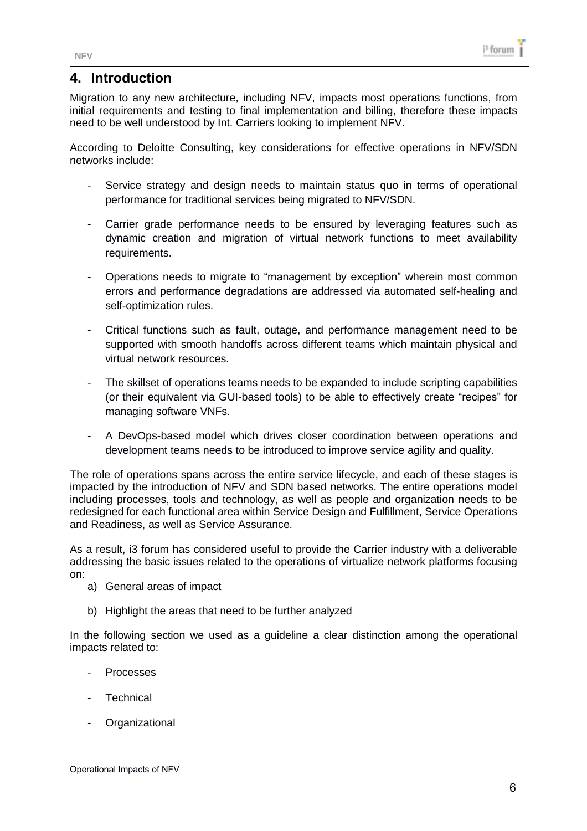### <span id="page-5-0"></span>**4. Introduction**

Migration to any new architecture, including NFV, impacts most operations functions, from initial requirements and testing to final implementation and billing, therefore these impacts need to be well understood by Int. Carriers looking to implement NFV.

According to Deloitte Consulting, key considerations for effective operations in NFV/SDN networks include:

- Service strategy and design needs to maintain status quo in terms of operational performance for traditional services being migrated to NFV/SDN.
- Carrier grade performance needs to be ensured by leveraging features such as dynamic creation and migration of virtual network functions to meet availability requirements.
- Operations needs to migrate to "management by exception" wherein most common errors and performance degradations are addressed via automated self-healing and self-optimization rules.
- Critical functions such as fault, outage, and performance management need to be supported with smooth handoffs across different teams which maintain physical and virtual network resources.
- The skillset of operations teams needs to be expanded to include scripting capabilities (or their equivalent via GUI-based tools) to be able to effectively create "recipes" for managing software VNFs.
- A DevOps-based model which drives closer coordination between operations and development teams needs to be introduced to improve service agility and quality.

The role of operations spans across the entire service lifecycle, and each of these stages is impacted by the introduction of NFV and SDN based networks. The entire operations model including processes, tools and technology, as well as people and organization needs to be redesigned for each functional area within Service Design and Fulfillment, Service Operations and Readiness, as well as Service Assurance.

As a result, i3 forum has considered useful to provide the Carrier industry with a deliverable addressing the basic issues related to the operations of virtualize network platforms focusing on:

- a) General areas of impact
- b) Highlight the areas that need to be further analyzed

In the following section we used as a guideline a clear distinction among the operational impacts related to:

- Processes
- **Technical**
- **Organizational**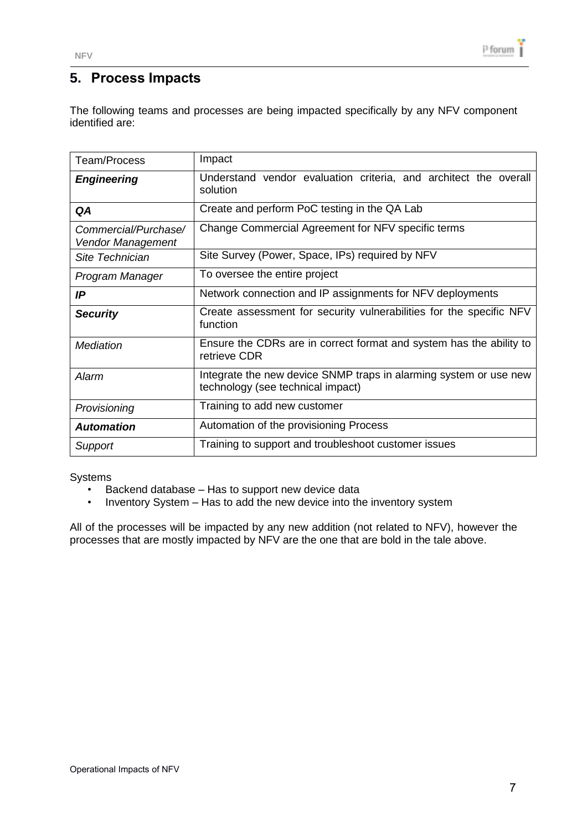# <span id="page-6-0"></span>**5. Process Impacts**

The following teams and processes are being impacted specifically by any NFV component identified are:

| Team/Process                              | Impact                                                                                                 |
|-------------------------------------------|--------------------------------------------------------------------------------------------------------|
| <b>Engineering</b>                        | Understand vendor evaluation criteria, and architect the overall<br>solution                           |
| QA                                        | Create and perform PoC testing in the QA Lab                                                           |
| Commercial/Purchase/<br>Vendor Management | Change Commercial Agreement for NFV specific terms                                                     |
| Site Technician                           | Site Survey (Power, Space, IPs) required by NFV                                                        |
| Program Manager                           | To oversee the entire project                                                                          |
| IP                                        | Network connection and IP assignments for NFV deployments                                              |
| <b>Security</b>                           | Create assessment for security vulnerabilities for the specific NFV<br>function                        |
| <b>Mediation</b>                          | Ensure the CDRs are in correct format and system has the ability to<br>retrieve CDR                    |
| Alarm                                     | Integrate the new device SNMP traps in alarming system or use new<br>technology (see technical impact) |
| Provisioning                              | Training to add new customer                                                                           |
| <b>Automation</b>                         | Automation of the provisioning Process                                                                 |
| Support                                   | Training to support and troubleshoot customer issues                                                   |

#### Systems

- Backend database Has to support new device data
- Inventory System Has to add the new device into the inventory system

All of the processes will be impacted by any new addition (not related to NFV), however the processes that are mostly impacted by NFV are the one that are bold in the tale above.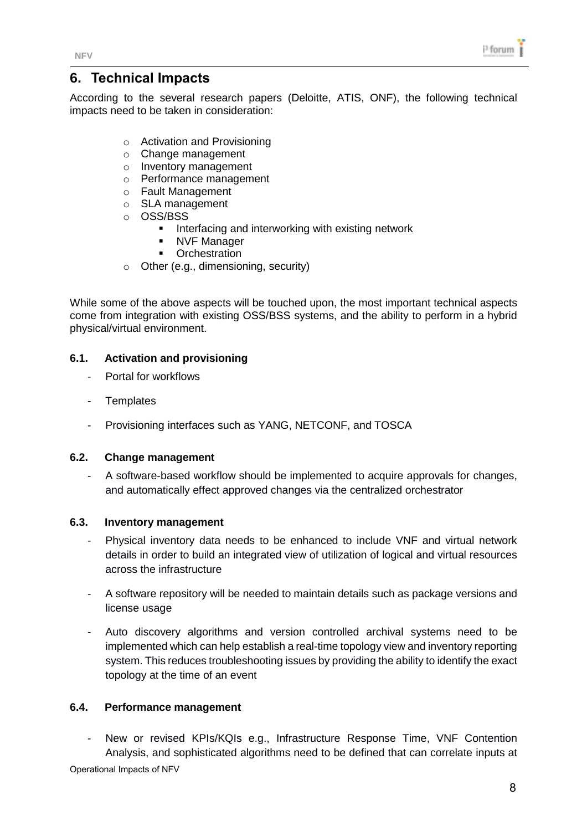### <span id="page-7-0"></span>**6. Technical Impacts**

According to the several research papers (Deloitte, ATIS, ONF), the following technical impacts need to be taken in consideration:

- o Activation and Provisioning
- o Change management
- o Inventory management
- o Performance management
- o Fault Management
- o SLA management
- o OSS/BSS
	- **Interfacing and interworking with existing network**
	- NVF Manager
	- **-** Orchestration
- o Other (e.g., dimensioning, security)

While some of the above aspects will be touched upon, the most important technical aspects come from integration with existing OSS/BSS systems, and the ability to perform in a hybrid physical/virtual environment.

#### <span id="page-7-1"></span>**6.1. Activation and provisioning**

- Portal for workflows
- Templates
- Provisioning interfaces such as YANG, NETCONF, and TOSCA

#### <span id="page-7-2"></span>**6.2. Change management**

- A software-based workflow should be implemented to acquire approvals for changes, and automatically effect approved changes via the centralized orchestrator

#### <span id="page-7-3"></span>**6.3. Inventory management**

- Physical inventory data needs to be enhanced to include VNF and virtual network details in order to build an integrated view of utilization of logical and virtual resources across the infrastructure
- A software repository will be needed to maintain details such as package versions and license usage
- Auto discovery algorithms and version controlled archival systems need to be implemented which can help establish a real-time topology view and inventory reporting system. This reduces troubleshooting issues by providing the ability to identify the exact topology at the time of an event

#### <span id="page-7-4"></span>**6.4. Performance management**

Operational Impacts of NFV - New or revised KPIs/KQIs e.g., Infrastructure Response Time, VNF Contention Analysis, and sophisticated algorithms need to be defined that can correlate inputs at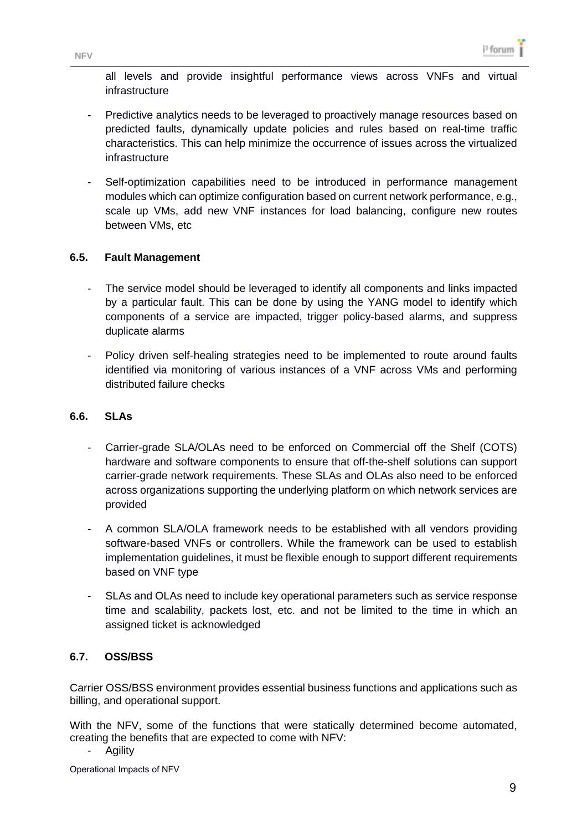all levels and provide insightful performance views across VNFs and virtual infrastructure

- Predictive analytics needs to be leveraged to proactively manage resources based on predicted faults, dynamically update policies and rules based on real-time traffic characteristics. This can help minimize the occurrence of issues across the virtualized infrastructure
- Self-optimization capabilities need to be introduced in performance management modules which can optimize configuration based on current network performance, e.g., scale up VMs, add new VNF instances for load balancing, configure new routes between VMs, etc

#### <span id="page-8-0"></span>**6.5. Fault Management**

- The service model should be leveraged to identify all components and links impacted by a particular fault. This can be done by using the YANG model to identify which components of a service are impacted, trigger policy-based alarms, and suppress duplicate alarms
- Policy driven self-healing strategies need to be implemented to route around faults identified via monitoring of various instances of a VNF across VMs and performing distributed failure checks

#### <span id="page-8-1"></span>**6.6. SLAs**

- Carrier-grade SLA/OLAs need to be enforced on Commercial off the Shelf (COTS) hardware and software components to ensure that off-the-shelf solutions can support carrier-grade network requirements. These SLAs and OLAs also need to be enforced across organizations supporting the underlying platform on which network services are provided
- A common SLA/OLA framework needs to be established with all vendors providing software-based VNFs or controllers. While the framework can be used to establish implementation guidelines, it must be flexible enough to support different requirements based on VNF type
- SLAs and OLAs need to include key operational parameters such as service response time and scalability, packets lost, etc. and not be limited to the time in which an assigned ticket is acknowledged

#### <span id="page-8-2"></span>**6.7. OSS/BSS**

Carrier OSS/BSS environment provides essential business functions and applications such as billing, and operational support.

With the NFV, some of the functions that were statically determined become automated, creating the benefits that are expected to come with NFV:

**Agility** 

Operational Impacts of NFV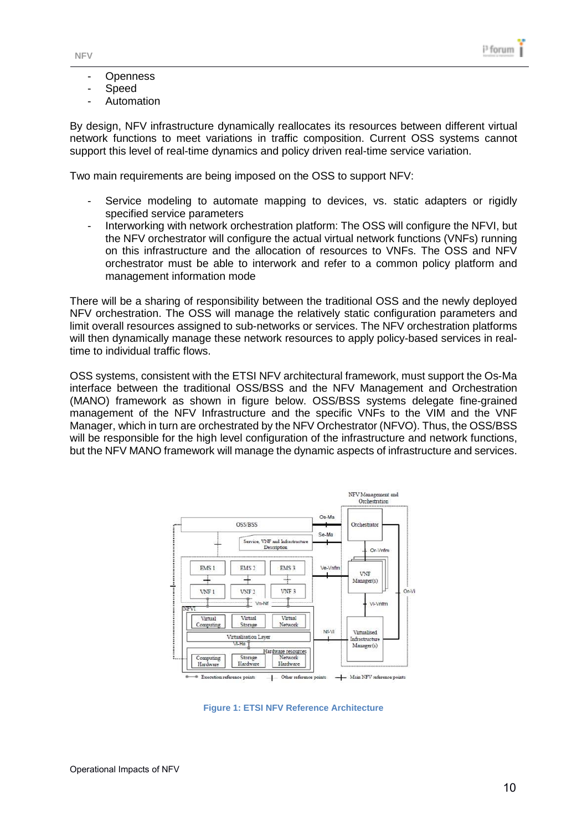- Openness
- **Speed**
- **Automation**

By design, NFV infrastructure dynamically reallocates its resources between different virtual network functions to meet variations in traffic composition. Current OSS systems cannot support this level of real-time dynamics and policy driven real-time service variation.

Two main requirements are being imposed on the OSS to support NFV:

- Service modeling to automate mapping to devices, vs. static adapters or rigidly specified service parameters
- Interworking with network orchestration platform: The OSS will configure the NFVI, but the NFV orchestrator will configure the actual virtual network functions (VNFs) running on this infrastructure and the allocation of resources to VNFs. The OSS and NFV orchestrator must be able to interwork and refer to a common policy platform and management information mode

There will be a sharing of responsibility between the traditional OSS and the newly deployed NFV orchestration. The OSS will manage the relatively static configuration parameters and limit overall resources assigned to sub-networks or services. The NFV orchestration platforms will then dynamically manage these network resources to apply policy-based services in realtime to individual traffic flows.

OSS systems, consistent with the ETSI NFV architectural framework, must support the Os-Ma interface between the traditional OSS/BSS and the NFV Management and Orchestration (MANO) framework as shown in figure below. OSS/BSS systems delegate fine-grained management of the NFV Infrastructure and the specific VNFs to the VIM and the VNF Manager, which in turn are orchestrated by the NFV Orchestrator (NFVO). Thus, the OSS/BSS will be responsible for the high level configuration of the infrastructure and network functions, but the NFV MANO framework will manage the dynamic aspects of infrastructure and services.



<span id="page-9-0"></span>**Figure 1: ETSI NFV Reference Architecture**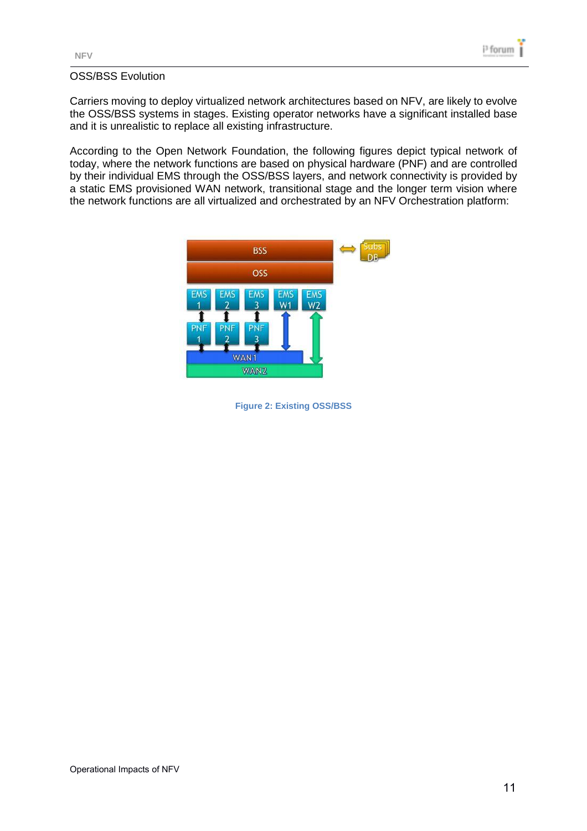#### OSS/BSS Evolution

Carriers moving to deploy virtualized network architectures based on NFV, are likely to evolve the OSS/BSS systems in stages. Existing operator networks have a significant installed base and it is unrealistic to replace all existing infrastructure.

According to the Open Network Foundation, the following figures depict typical network of today, where the network functions are based on physical hardware (PNF) and are controlled by their individual EMS through the OSS/BSS layers, and network connectivity is provided by a static EMS provisioned WAN network, transitional stage and the longer term vision where the network functions are all virtualized and orchestrated by an NFV Orchestration platform:



<span id="page-10-0"></span>**Figure 2: Existing OSS/BSS**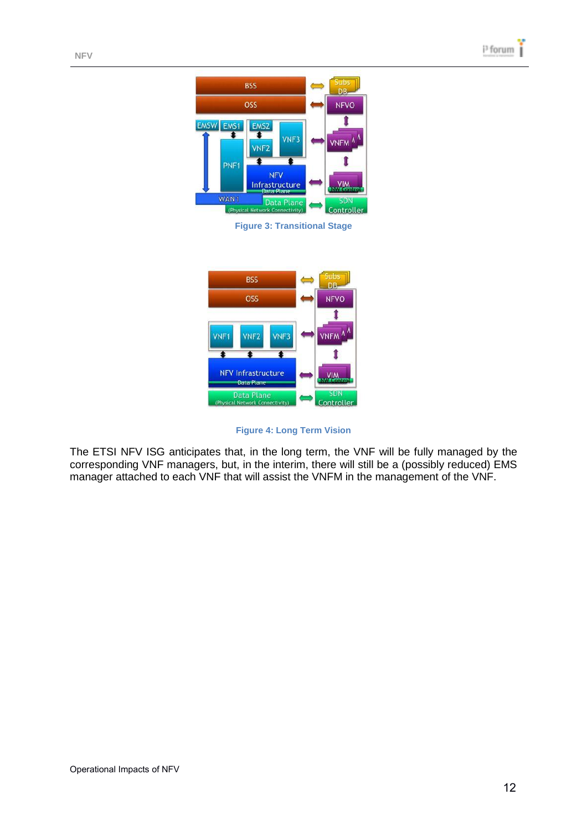

**Figure 3: Transitional Stage**

<span id="page-11-0"></span>

**Figure 4: Long Term Vision**

<span id="page-11-1"></span>The ETSI NFV ISG anticipates that, in the long term, the VNF will be fully managed by the corresponding VNF managers, but, in the interim, there will still be a (possibly reduced) EMS manager attached to each VNF that will assist the VNFM in the management of the VNF.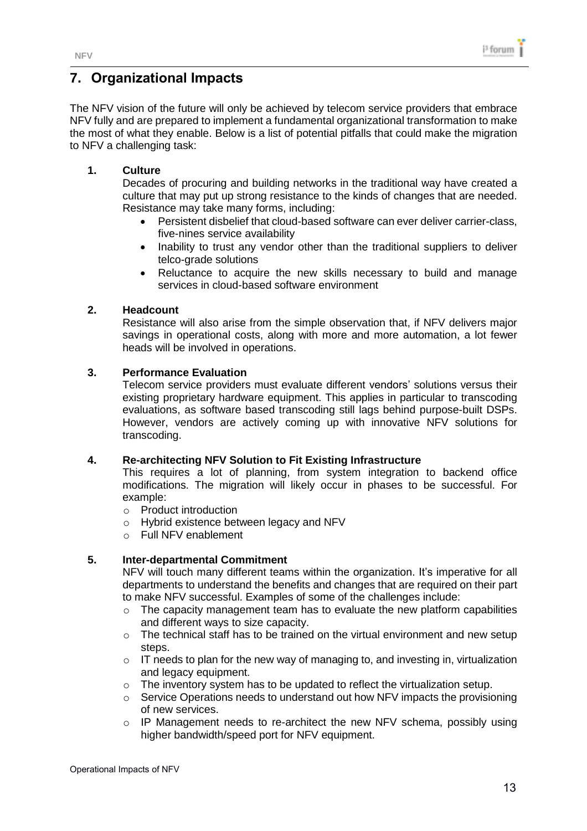## <span id="page-12-0"></span>**7. Organizational Impacts**

The NFV vision of the future will only be achieved by telecom service providers that embrace NFV fully and are prepared to implement a fundamental organizational transformation to make the most of what they enable. Below is a list of potential pitfalls that could make the migration to NFV a challenging task:

#### **1. Culture**

Decades of procuring and building networks in the traditional way have created a culture that may put up strong resistance to the kinds of changes that are needed. Resistance may take many forms, including:

- Persistent disbelief that cloud-based software can ever deliver carrier-class, five-nines service availability
- Inability to trust any vendor other than the traditional suppliers to deliver telco-grade solutions
- Reluctance to acquire the new skills necessary to build and manage services in cloud-based software environment

#### **2. Headcount**

Resistance will also arise from the simple observation that, if NFV delivers major savings in operational costs, along with more and more automation, a lot fewer heads will be involved in operations.

#### **3. Performance Evaluation**

Telecom service providers must evaluate different vendors' solutions versus their existing proprietary hardware equipment. This applies in particular to transcoding evaluations, as software based transcoding still lags behind purpose-built DSPs. However, vendors are actively coming up with innovative NFV solutions for transcoding.

#### **4. Re-architecting NFV Solution to Fit Existing Infrastructure**

This requires a lot of planning, from system integration to backend office modifications. The migration will likely occur in phases to be successful. For example:

- o Product introduction
- o Hybrid existence between legacy and NFV
- o Full NFV enablement

#### **5. Inter-departmental Commitment**

NFV will touch many different teams within the organization. It's imperative for all departments to understand the benefits and changes that are required on their part to make NFV successful. Examples of some of the challenges include:

- $\circ$  The capacity management team has to evaluate the new platform capabilities and different ways to size capacity.
- o The technical staff has to be trained on the virtual environment and new setup steps.
- $\circ$  IT needs to plan for the new way of managing to, and investing in, virtualization and legacy equipment.
- o The inventory system has to be updated to reflect the virtualization setup.
- o Service Operations needs to understand out how NFV impacts the provisioning of new services.
- $\circ$  IP Management needs to re-architect the new NFV schema, possibly using higher bandwidth/speed port for NFV equipment.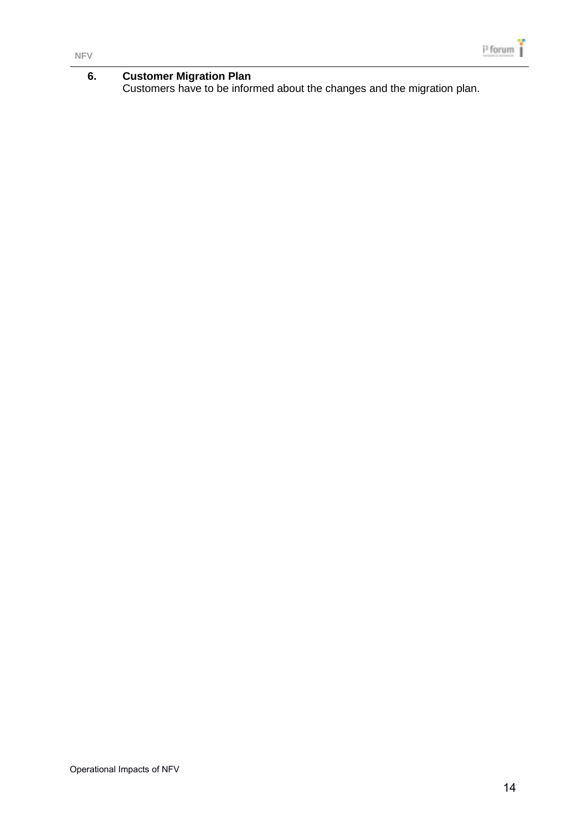#### **6. Customer Migration Plan** Customers have to be informed about the changes and the migration plan.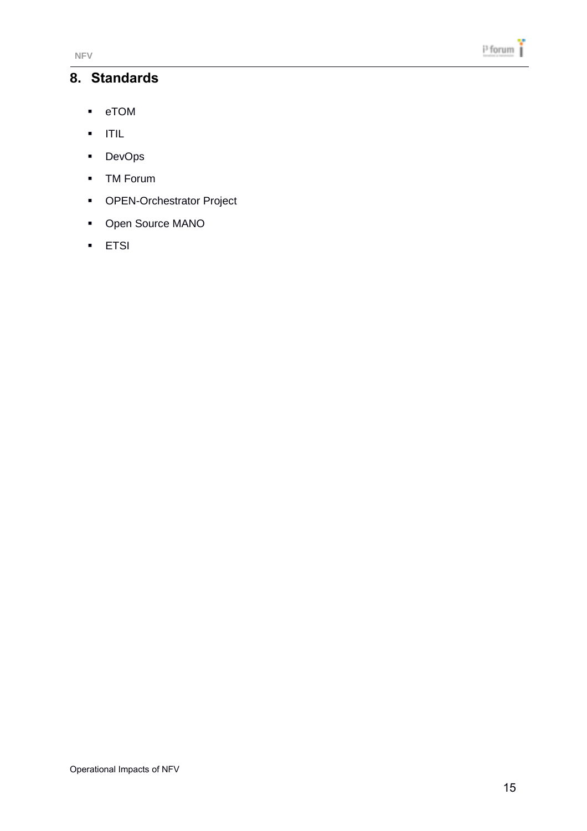### <span id="page-14-0"></span>**8. Standards**

- eTOM
- $\blacksquare$  ITIL
- **DevOps**
- TM Forum
- **•** OPEN-Orchestrator Project
- Open Source MANO
- **F** ETSI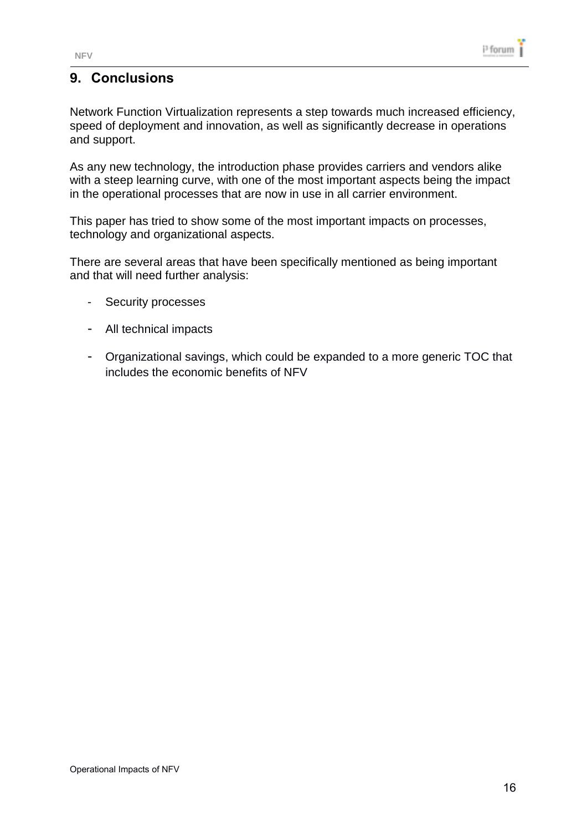# <span id="page-15-0"></span>**9. Conclusions**

Network Function Virtualization represents a step towards much increased efficiency, speed of deployment and innovation, as well as significantly decrease in operations and support.

As any new technology, the introduction phase provides carriers and vendors alike with a steep learning curve, with one of the most important aspects being the impact in the operational processes that are now in use in all carrier environment.

This paper has tried to show some of the most important impacts on processes, technology and organizational aspects.

There are several areas that have been specifically mentioned as being important and that will need further analysis:

- Security processes
- All technical impacts
- Organizational savings, which could be expanded to a more generic TOC that includes the economic benefits of NFV